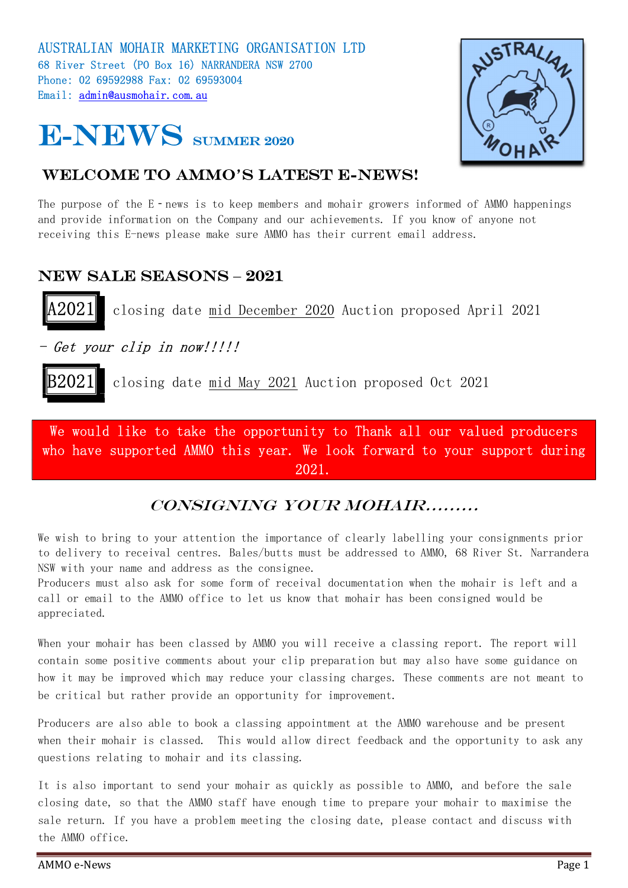



#### WELCOME TO AMMO'S LATEST E-NEWS!

The purpose of the E-news is to keep members and mohair growers informed of AMMO happenings and provide information on the Company and our achievements. If you know of anyone not receiving this E-news please make sure AMMO has their current email address.

## NEW SALE SEASONS - 2021

closing date mid December 2020 Auction proposed April 2021

- Get your clip in now!!!!!

B2021 closing date mid May 2021 Auction proposed Oct 2021

We would like to take the opportunity to Thank all our valued producers who have supported AMMO this year. We look forward to your support during 2021.

## Consigning your mohair………

We wish to bring to your attention the importance of clearly labelling your consignments prior to delivery to receival centres. Bales/butts must be addressed to AMMO, 68 River St. Narrandera NSW with your name and address as the consignee.

Producers must also ask for some form of receival documentation when the mohair is left and a call or email to the AMMO office to let us know that mohair has been consigned would be appreciated.

When your mohair has been classed by AMMO you will receive a classing report. The report will contain some positive comments about your clip preparation but may also have some guidance on how it may be improved which may reduce your classing charges. These comments are not meant to be critical but rather provide an opportunity for improvement.

Producers are also able to book a classing appointment at the AMMO warehouse and be present when their mohair is classed. This would allow direct feedback and the opportunity to ask any questions relating to mohair and its classing.

It is also important to send your mohair as quickly as possible to AMMO, and before the sale closing date, so that the AMMO staff have enough time to prepare your mohair to maximise the sale return. If you have a problem meeting the closing date, please contact and discuss with the AMMO office.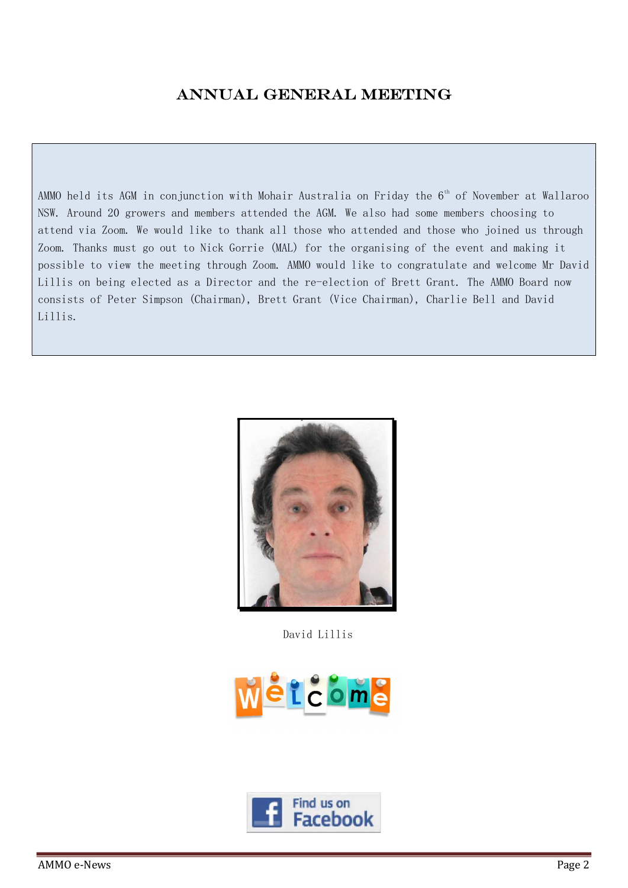#### ANNUAL GENERAL MEETING

AMMO held its AGM in conjunction with Mohair Australia on Friday the  $6<sup>th</sup>$  of November at Wallaroo NSW. Around 20 growers and members attended the AGM. We also had some members choosing to attend via Zoom. We would like to thank all those who attended and those who joined us through Zoom. Thanks must go out to Nick Gorrie (MAL) for the organising of the event and making it possible to view the meeting through Zoom. AMMO would like to congratulate and welcome Mr David Lillis on being elected as a Director and the re-election of Brett Grant. The AMMO Board now consists of Peter Simpson (Chairman), Brett Grant (Vice Chairman), Charlie Bell and David Lillis.



David Lillis